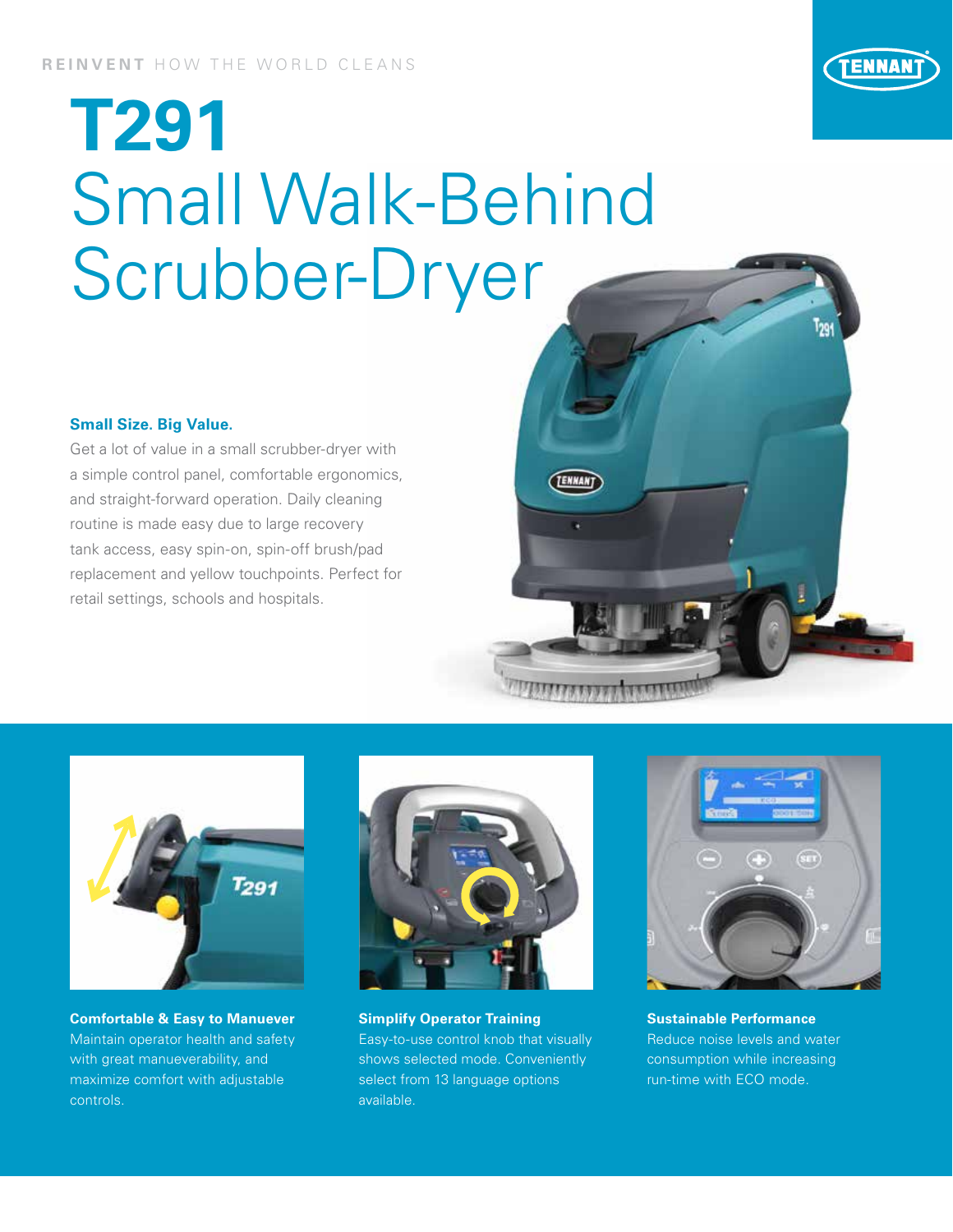

## **T291** Small Walk-Behind Scrubber-Dryer

## **Small Size. Big Value.**

Get a lot of value in a small scrubber-dryer with a simple control panel, comfortable ergonomics, and straight-forward operation. Daily cleaning routine is made easy due to large recovery tank access, easy spin-on, spin-off brush/pad replacement and yellow touchpoints. Perfect for retail settings, schools and hospitals.





**Comfortable & Easy to Manuever** Maintain operator health and safety with great manueverability, and maximize comfort with adjustable controls.



**Simplify Operator Training**  Easy-to-use control knob that visually shows selected mode. Conveniently select from 13 language options available.



**Sustainable Performance** Reduce noise levels and water consumption while increasing run-time with ECO mode.